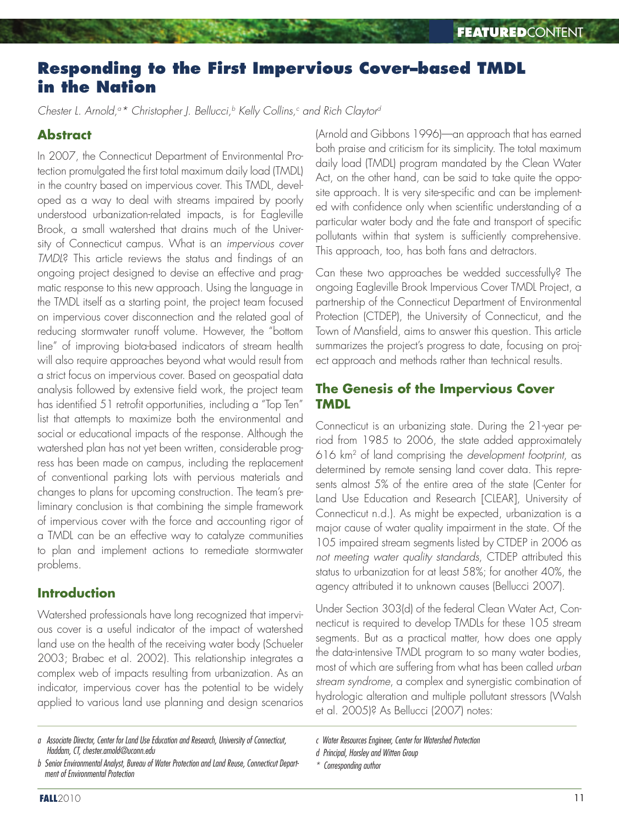# **Responding to the First Impervious Cover–based TMDL in the Nation**

*Chester L. Arnold,a \* Christopher J. Bellucci,b Kelly Collins,c and Rich Claytord*

# **Abstract**

In 2007, the Connecticut Department of Environmental Protection promulgated the first total maximum daily load (TMDL) in the country based on impervious cover. This TMDL, developed as a way to deal with streams impaired by poorly understood urbanization-related impacts, is for Eagleville Brook, a small watershed that drains much of the University of Connecticut campus. What is an *impervious cover TMDL*? This article reviews the status and findings of an ongoing project designed to devise an effective and pragmatic response to this new approach. Using the language in the TMDL itself as a starting point, the project team focused on impervious cover disconnection and the related goal of reducing stormwater runoff volume. However, the "bottom line" of improving biota-based indicators of stream health will also require approaches beyond what would result from a strict focus on impervious cover. Based on geospatial data analysis followed by extensive field work, the project team has identified 51 retrofit opportunities, including a "Top Ten" list that attempts to maximize both the environmental and social or educational impacts of the response. Although the watershed plan has not yet been written, considerable progress has been made on campus, including the replacement of conventional parking lots with pervious materials and changes to plans for upcoming construction. The team's preliminary conclusion is that combining the simple framework of impervious cover with the force and accounting rigor of a TMDL can be an effective way to catalyze communities to plan and implement actions to remediate stormwater problems.

#### **Introduction**

Watershed professionals have long recognized that impervious cover is a useful indicator of the impact of watershed land use on the health of the receiving water body (Schueler 2003; Brabec et al. 2002). This relationship integrates a complex web of impacts resulting from urbanization. As an indicator, impervious cover has the potential to be widely applied to various land use planning and design scenarios (Arnold and Gibbons 1996)—an approach that has earned both praise and criticism for its simplicity. The total maximum daily load (TMDL) program mandated by the Clean Water Act, on the other hand, can be said to take quite the opposite approach. It is very site-specific and can be implemented with confidence only when scientific understanding of a particular water body and the fate and transport of specific pollutants within that system is sufficiently comprehensive. This approach, too, has both fans and detractors.

Can these two approaches be wedded successfully? The ongoing Eagleville Brook Impervious Cover TMDL Project, a partnership of the Connecticut Department of Environmental Protection (CTDEP), the University of Connecticut, and the Town of Mansfield, aims to answer this question. This article summarizes the project's progress to date, focusing on project approach and methods rather than technical results.

## **The Genesis of the Impervious Cover TMDL**

Connecticut is an urbanizing state. During the 21-year period from 1985 to 2006, the state added approximately 616 km2 of land comprising the *development footprint*, as determined by remote sensing land cover data. This represents almost 5% of the entire area of the state (Center for Land Use Education and Research [CLEAR], University of Connecticut n.d.). As might be expected, urbanization is a major cause of water quality impairment in the state. Of the 105 impaired stream segments listed by CTDEP in 2006 as *not meeting water quality standards*, CTDEP attributed this status to urbanization for at least 58%; for another 40%, the agency attributed it to unknown causes (Bellucci 2007).

Under Section 303(d) of the federal Clean Water Act, Connecticut is required to develop TMDLs for these 105 stream segments. But as a practical matter, how does one apply the data-intensive TMDL program to so many water bodies, most of which are suffering from what has been called *urban stream syndrome*, a complex and synergistic combination of hydrologic alteration and multiple pollutant stressors (Walsh et al. 2005)? As Bellucci (2007) notes:

*d Principal, Horsley and Witten Group*

*a Associate Director, Center for Land Use Education and Research, University of Connecticut, Haddam, CT, chester.arnold@uconn.edu*

*b Senior Environmental Analyst, Bureau of Water Protection and Land Reuse, Connecticut Department of Environmental Protection*

*c Water Resources Engineer, Center for Watershed Protection*

*<sup>\*</sup> Corresponding author*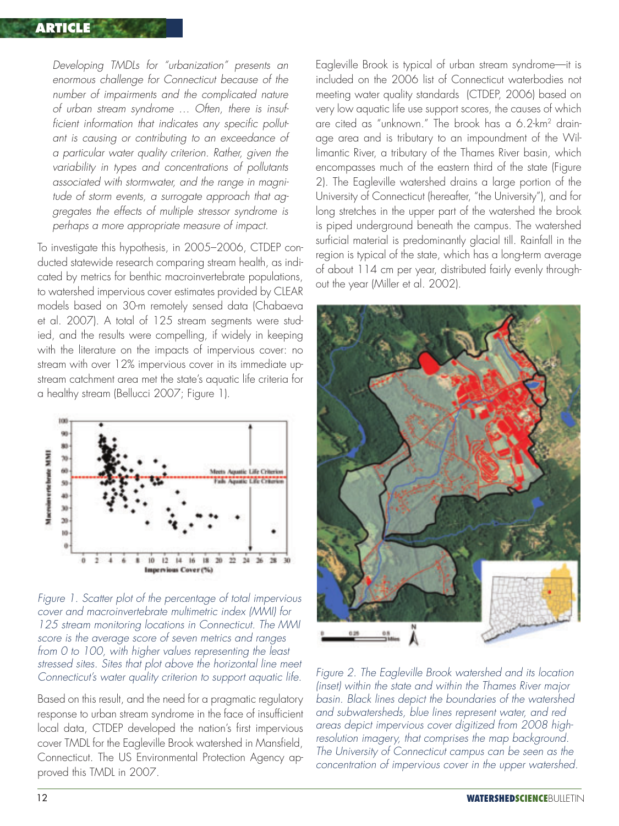#### **ARTICLE**

*Developing TMDLs for "urbanization" presents an enormous challenge for Connecticut because of the number of impairments and the complicated nature of urban stream syndrome … Often, there is insufficient information that indicates any specific pollutant is causing or contributing to an exceedance of a particular water quality criterion. Rather, given the variability in types and concentrations of pollutants associated with stormwater, and the range in magnitude of storm events, a surrogate approach that aggregates the effects of multiple stressor syndrome is perhaps a more appropriate measure of impact.*

To investigate this hypothesis, in 2005–2006, CTDEP conducted statewide research comparing stream health, as indicated by metrics for benthic macroinvertebrate populations, to watershed impervious cover estimates provided by CLEAR models based on 30-m remotely sensed data (Chabaeva et al. 2007). A total of 125 stream segments were studied, and the results were compelling, if widely in keeping with the literature on the impacts of impervious cover: no stream with over 12% impervious cover in its immediate upstream catchment area met the state's aquatic life criteria for a healthy stream (Bellucci 2007; Figure 1).



*Figure 1. Scatter plot of the percentage of total impervious cover and macroinvertebrate multimetric index (MMI) for 125 stream monitoring locations in Connecticut. The MMI score is the average score of seven metrics and ranges from 0 to 100, with higher values representing the least stressed sites. Sites that plot above the horizontal line meet Connecticut's water quality criterion to support aquatic life.*

Based on this result, and the need for a pragmatic regulatory response to urban stream syndrome in the face of insufficient local data, CTDEP developed the nation's first impervious cover TMDL for the Eagleville Brook watershed in Mansfield, Connecticut. The US Environmental Protection Agency approved this TMDL in 2007.

Eagleville Brook is typical of urban stream syndrome—it is included on the 2006 list of Connecticut waterbodies not meeting water quality standards (CTDEP, 2006) based on very low aquatic life use support scores, the causes of which are cited as "unknown." The brook has a 6.2-km2 drainage area and is tributary to an impoundment of the Willimantic River, a tributary of the Thames River basin, which encompasses much of the eastern third of the state (Figure 2). The Eagleville watershed drains a large portion of the University of Connecticut (hereafter, "the University"), and for long stretches in the upper part of the watershed the brook is piped underground beneath the campus. The watershed surficial material is predominantly glacial till. Rainfall in the region is typical of the state, which has a long-term average of about 114 cm per year, distributed fairly evenly throughout the year (Miller et al. 2002).



*Figure 2. The Eagleville Brook watershed and its location (inset) within the state and within the Thames River major basin. Black lines depict the boundaries of the watershed and subwatersheds, blue lines represent water, and red areas depict impervious cover digitized from 2008 highresolution imagery, that comprises the map background. The University of Connecticut campus can be seen as the concentration of impervious cover in the upper watershed.*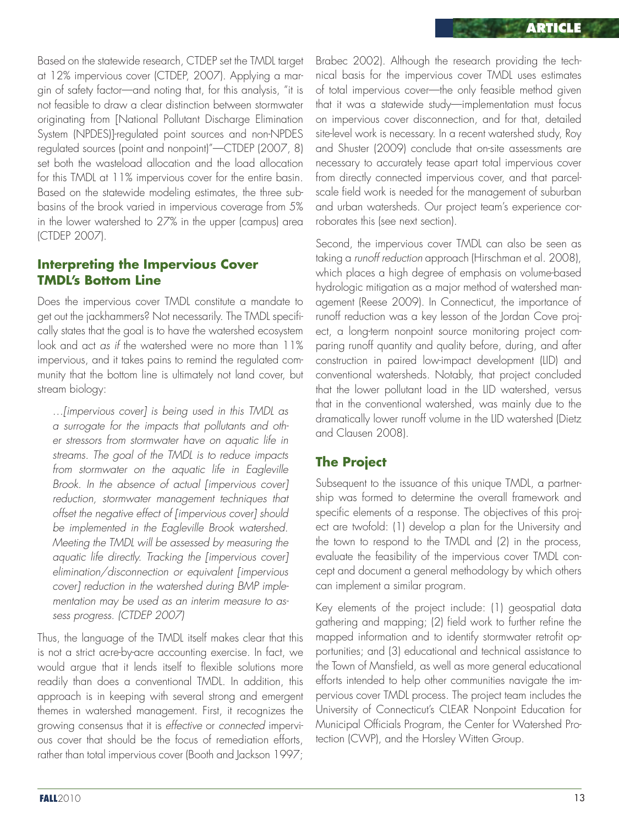Based on the statewide research, CTDEP set the TMDL target at 12% impervious cover (CTDEP, 2007). Applying a margin of safety factor—and noting that, for this analysis, "it is not feasible to draw a clear distinction between stormwater originating from [National Pollutant Discharge Elimination System (NPDES)]-regulated point sources and non-NPDES regulated sources (point and nonpoint)"—CTDEP (2007, 8) set both the wasteload allocation and the load allocation for this TMDL at 11% impervious cover for the entire basin. Based on the statewide modeling estimates, the three subbasins of the brook varied in impervious coverage from 5% in the lower watershed to 27% in the upper (campus) area (CTDEP 2007).

#### **Interpreting the Impervious Cover TMDL's Bottom Line**

Does the impervious cover TMDL constitute a mandate to get out the jackhammers? Not necessarily. The TMDL specifically states that the goal is to have the watershed ecosystem look and act *as if* the watershed were no more than 11% impervious, and it takes pains to remind the regulated community that the bottom line is ultimately not land cover, but stream biology:

*…[impervious cover] is being used in this TMDL as a surrogate for the impacts that pollutants and other stressors from stormwater have on aquatic life in streams. The goal of the TMDL is to reduce impacts from stormwater on the aquatic life in Eagleville Brook. In the absence of actual [impervious cover] reduction, stormwater management techniques that offset the negative effect of [impervious cover] should be implemented in the Eagleville Brook watershed. Meeting the TMDL will be assessed by measuring the aquatic life directly. Tracking the [impervious cover] elimination/disconnection or equivalent [impervious cover] reduction in the watershed during BMP implementation may be used as an interim measure to assess progress. (CTDEP 2007)*

Thus, the language of the TMDL itself makes clear that this is not a strict acre-by-acre accounting exercise. In fact, we would argue that it lends itself to flexible solutions more readily than does a conventional TMDL. In addition, this approach is in keeping with several strong and emergent themes in watershed management. First, it recognizes the growing consensus that it is *effective* or *connected* impervious cover that should be the focus of remediation efforts, rather than total impervious cover (Booth and Jackson 1997;

Brabec 2002). Although the research providing the technical basis for the impervious cover TMDL uses estimates of total impervious cover—the only feasible method given that it was a statewide study—implementation must focus on impervious cover disconnection, and for that, detailed site-level work is necessary. In a recent watershed study, Roy and Shuster (2009) conclude that on-site assessments are necessary to accurately tease apart total impervious cover from directly connected impervious cover, and that parcelscale field work is needed for the management of suburban and urban watersheds. Our project team's experience corroborates this (see next section).

Second, the impervious cover TMDL can also be seen as taking a *runoff reduction* approach (Hirschman et al. 2008), which places a high degree of emphasis on volume-based hydrologic mitigation as a major method of watershed management (Reese 2009). In Connecticut, the importance of runoff reduction was a key lesson of the Jordan Cove project, a long-term nonpoint source monitoring project comparing runoff quantity and quality before, during, and after construction in paired low-impact development (LID) and conventional watersheds. Notably, that project concluded that the lower pollutant load in the LID watershed, versus that in the conventional watershed, was mainly due to the dramatically lower runoff volume in the LID watershed (Dietz and Clausen 2008).

## **The Project**

Subsequent to the issuance of this unique TMDL, a partnership was formed to determine the overall framework and specific elements of a response. The objectives of this project are twofold: (1) develop a plan for the University and the town to respond to the TMDL and (2) in the process, evaluate the feasibility of the impervious cover TMDL concept and document a general methodology by which others can implement a similar program.

Key elements of the project include: (1) geospatial data gathering and mapping; (2) field work to further refine the mapped information and to identify stormwater retrofit opportunities; and (3) educational and technical assistance to the Town of Mansfield, as well as more general educational efforts intended to help other communities navigate the impervious cover TMDL process. The project team includes the University of Connecticut's CLEAR Nonpoint Education for Municipal Officials Program, the Center for Watershed Protection (CWP), and the Horsley Witten Group.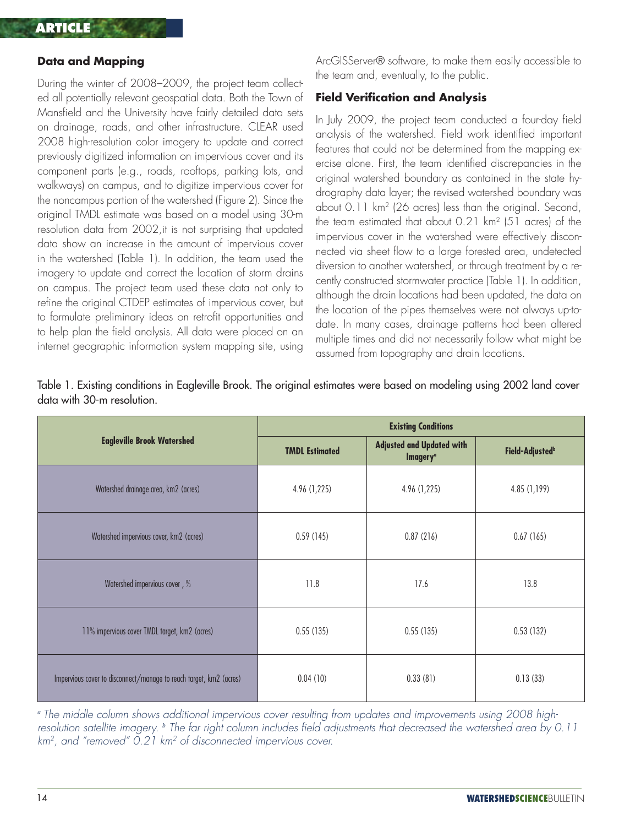#### **Data and Mapping**

During the winter of 2008–2009, the project team collected all potentially relevant geospatial data. Both the Town of Mansfield and the University have fairly detailed data sets on drainage, roads, and other infrastructure. CLEAR used 2008 high-resolution color imagery to update and correct previously digitized information on impervious cover and its component parts (e.g., roads, rooftops, parking lots, and walkways) on campus, and to digitize impervious cover for the noncampus portion of the watershed (Figure 2). Since the original TMDL estimate was based on a model using 30-m resolution data from 2002,it is not surprising that updated data show an increase in the amount of impervious cover in the watershed (Table 1). In addition, the team used the imagery to update and correct the location of storm drains on campus. The project team used these data not only to refine the original CTDEP estimates of impervious cover, but to formulate preliminary ideas on retrofit opportunities and to help plan the field analysis. All data were placed on an internet geographic information system mapping site, using

ArcGISServer® software, to make them easily accessible to the team and, eventually, to the public.

#### **Field Verification and Analysis**

In July 2009, the project team conducted a four-day field analysis of the watershed. Field work identified important features that could not be determined from the mapping exercise alone. First, the team identified discrepancies in the original watershed boundary as contained in the state hydrography data layer; the revised watershed boundary was about 0.11 km2 (26 acres) less than the original. Second, the team estimated that about 0.21 km2 (51 acres) of the impervious cover in the watershed were effectively disconnected via sheet flow to a large forested area, undetected diversion to another watershed, or through treatment by a recently constructed stormwater practice (Table 1). In addition, although the drain locations had been updated, the data on the location of the pipes themselves were not always up-todate. In many cases, drainage patterns had been altered multiple times and did not necessarily follow what might be assumed from topography and drain locations.

|                                                                    | <b>Existing Conditions</b> |                                                                 |                             |  |  |
|--------------------------------------------------------------------|----------------------------|-----------------------------------------------------------------|-----------------------------|--|--|
| <b>Eagleville Brook Watershed</b>                                  | <b>TMDL Estimated</b>      | <b>Adjusted and Updated with</b><br><b>Imagery</b> <sup>a</sup> | Field-Adjusted <sup>b</sup> |  |  |
| Watershed drainage area, km2 (acres)                               | 4.96 (1,225)               | 4.96 (1,225)                                                    | 4.85(1,199)                 |  |  |
| Watershed impervious cover, km2 (acres)<br>0.59(145)               |                            | 0.87(216)                                                       | 0.67(165)                   |  |  |
| Watershed impervious cover, %                                      | 11.8                       | 17.6                                                            | 13.8                        |  |  |
| 11% impervious cover TMDL target, km2 (acres)                      | 0.55(135)                  | 0.55(135)                                                       | 0.53(132)                   |  |  |
| Impervious cover to disconnect/manage to reach target, km2 (acres) | 0.04(10)                   | 0.33(81)                                                        | 0.13(33)                    |  |  |

Table 1. Existing conditions in Eagleville Brook. The original estimates were based on modeling using 2002 land cover data with 30-m resolution.

*<sup>a</sup> The middle column shows additional impervious cover resulting from updates and improvements using 2008 highresolution satellite imagery. <sup>b</sup> The far right column includes field adjustments that decreased the watershed area by 0.11 km2, and "removed" 0.21 km2 of disconnected impervious cover.*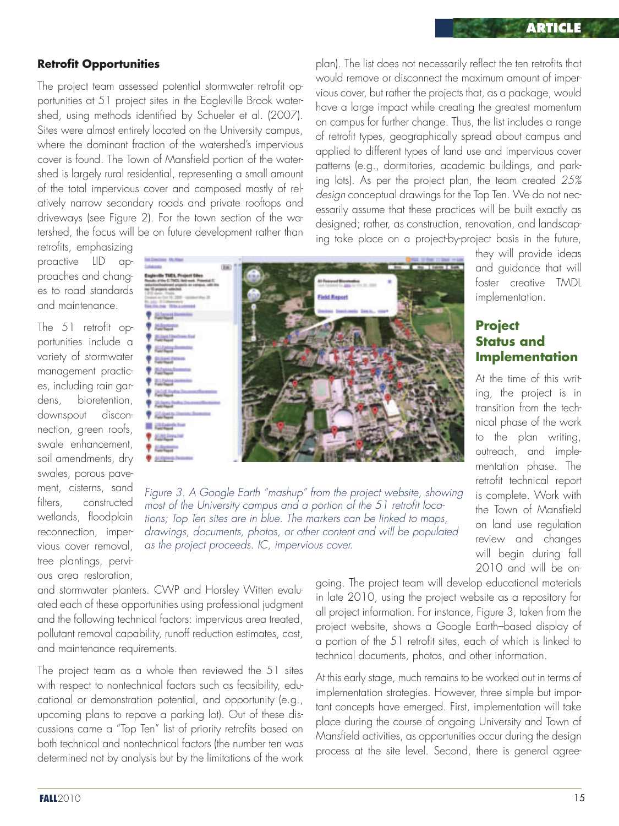#### **Retrofit Opportunities**

The project team assessed potential stormwater retrofit opportunities at 51 project sites in the Eagleville Brook watershed, using methods identified by Schueler et al. (2007). Sites were almost entirely located on the University campus, where the dominant fraction of the watershed's impervious cover is found. The Town of Mansfield portion of the watershed is largely rural residential, representing a small amount of the total impervious cover and composed mostly of relatively narrow secondary roads and private rooftops and driveways (see Figure 2). For the town section of the watershed, the focus will be on future development rather than

retrofits, emphasizing proactive LID approaches and changes to road standards and maintenance.

The 51 retrofit opportunities include a variety of stormwater management practices, including rain gardens, bioretention, downspout disconnection, green roofs, swale enhancement, soil amendments, dry swales, porous pavement, cisterns, sand filters, constructed wetlands, floodplain reconnection, impervious cover removal, tree plantings, pervious area restoration,



*Figure 3. A Google Earth "mashup" from the project website, showing most of the University campus and a portion of the 51 retrofit locations; Top Ten sites are in blue. The markers can be linked to maps, drawings, documents, photos, or other content and will be populated as the project proceeds. IC, impervious cover.*

and stormwater planters. CWP and Horsley Witten evaluated each of these opportunities using professional judgment and the following technical factors: impervious area treated, pollutant removal capability, runoff reduction estimates, cost, and maintenance requirements.

The project team as a whole then reviewed the 51 sites with respect to nontechnical factors such as feasibility, educational or demonstration potential, and opportunity (e.g., upcoming plans to repave a parking lot). Out of these discussions came a "Top Ten" list of priority retrofits based on both technical and nontechnical factors (the number ten was determined not by analysis but by the limitations of the work plan). The list does not necessarily reflect the ten retrofits that would remove or disconnect the maximum amount of impervious cover, but rather the projects that, as a package, would have a large impact while creating the greatest momentum on campus for further change. Thus, the list includes a range of retrofit types, geographically spread about campus and applied to different types of land use and impervious cover patterns (e.g., dormitories, academic buildings, and parking lots). As per the project plan, the team created *25% design* conceptual drawings for the Top Ten. We do not necessarily assume that these practices will be built exactly as designed; rather, as construction, renovation, and landscaping take place on a project-by-project basis in the future,

> they will provide ideas and guidance that will foster creative TMDL implementation.

#### **Project Status and Implementation**

At the time of this writing, the project is in transition from the technical phase of the work to the plan writing, outreach, and implementation phase. The retrofit technical report is complete. Work with the Town of Mansfield on land use regulation review and changes will begin during fall 2010 and will be on-

going. The project team will develop educational materials in late 2010, using the project website as a repository for all project information. For instance, Figure 3, taken from the project website, shows a Google Earth–based display of a portion of the 51 retrofit sites, each of which is linked to technical documents, photos, and other information.

At this early stage, much remains to be worked out in terms of implementation strategies. However, three simple but important concepts have emerged. First, implementation will take place during the course of ongoing University and Town of Mansfield activities, as opportunities occur during the design process at the site level. Second, there is general agree-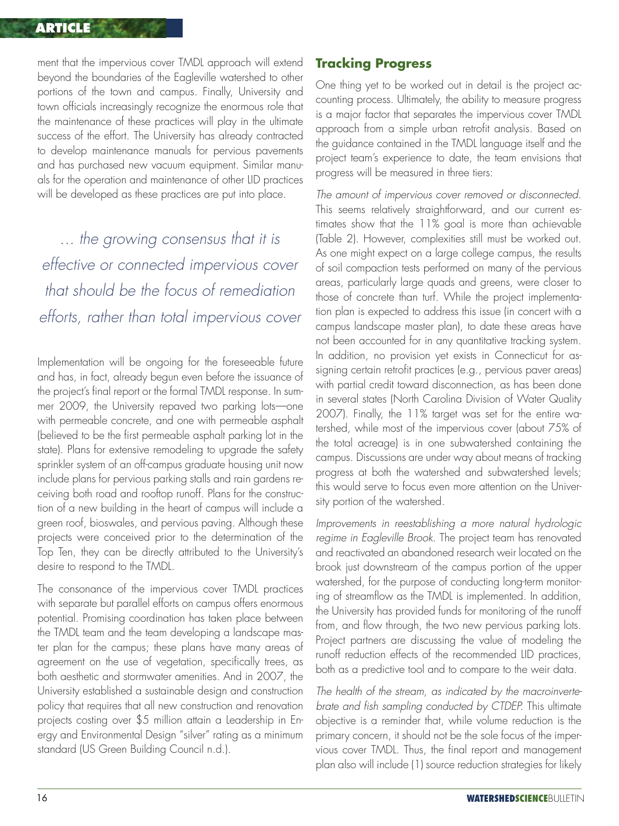#### **ARTICLE**

ment that the impervious cover TMDL approach will extend beyond the boundaries of the Eagleville watershed to other portions of the town and campus. Finally, University and town officials increasingly recognize the enormous role that the maintenance of these practices will play in the ultimate success of the effort. The University has already contracted to develop maintenance manuals for pervious pavements and has purchased new vacuum equipment. Similar manuals for the operation and maintenance of other LID practices will be developed as these practices are put into place.

*... the growing consensus that it is effective or connected impervious cover that should be the focus of remediation efforts, rather than total impervious cover*

Implementation will be ongoing for the foreseeable future and has, in fact, already begun even before the issuance of the project's final report or the formal TMDL response. In summer 2009, the University repaved two parking lots—one with permeable concrete, and one with permeable asphalt (believed to be the first permeable asphalt parking lot in the state). Plans for extensive remodeling to upgrade the safety sprinkler system of an off-campus graduate housing unit now include plans for pervious parking stalls and rain gardens receiving both road and rooftop runoff. Plans for the construction of a new building in the heart of campus will include a green roof, bioswales, and pervious paving. Although these projects were conceived prior to the determination of the Top Ten, they can be directly attributed to the University's desire to respond to the TMDL.

The consonance of the impervious cover TMDL practices with separate but parallel efforts on campus offers enormous potential. Promising coordination has taken place between the TMDL team and the team developing a landscape master plan for the campus; these plans have many areas of agreement on the use of vegetation, specifically trees, as both aesthetic and stormwater amenities. And in 2007, the University established a sustainable design and construction policy that requires that all new construction and renovation projects costing over \$5 million attain a Leadership in Energy and Environmental Design "silver" rating as a minimum standard (US Green Building Council n.d.).

#### **Tracking Progress**

One thing yet to be worked out in detail is the project accounting process. Ultimately, the ability to measure progress is a major factor that separates the impervious cover TMDL approach from a simple urban retrofit analysis. Based on the guidance contained in the TMDL language itself and the project team's experience to date, the team envisions that progress will be measured in three tiers:

*The amount of impervious cover removed or disconnected.* This seems relatively straightforward, and our current estimates show that the 11% goal is more than achievable (Table 2). However, complexities still must be worked out. As one might expect on a large college campus, the results of soil compaction tests performed on many of the pervious areas, particularly large quads and greens, were closer to those of concrete than turf. While the project implementation plan is expected to address this issue (in concert with a campus landscape master plan), to date these areas have not been accounted for in any quantitative tracking system. In addition, no provision yet exists in Connecticut for assigning certain retrofit practices (e.g., pervious paver areas) with partial credit toward disconnection, as has been done in several states (North Carolina Division of Water Quality 2007). Finally, the 11% target was set for the entire watershed, while most of the impervious cover (about 75% of the total acreage) is in one subwatershed containing the campus. Discussions are under way about means of tracking progress at both the watershed and subwatershed levels; this would serve to focus even more attention on the University portion of the watershed.

*Improvements in reestablishing a more natural hydrologic regime in Eagleville Brook.* The project team has renovated and reactivated an abandoned research weir located on the brook just downstream of the campus portion of the upper watershed, for the purpose of conducting long-term monitoring of streamflow as the TMDL is implemented. In addition, the University has provided funds for monitoring of the runoff from, and flow through, the two new pervious parking lots. Project partners are discussing the value of modeling the runoff reduction effects of the recommended LID practices, both as a predictive tool and to compare to the weir data.

*The health of the stream, as indicated by the macroinvertebrate and fish sampling conducted by CTDEP.* This ultimate objective is a reminder that, while volume reduction is the primary concern, it should not be the sole focus of the impervious cover TMDL. Thus, the final report and management plan also will include (1) source reduction strategies for likely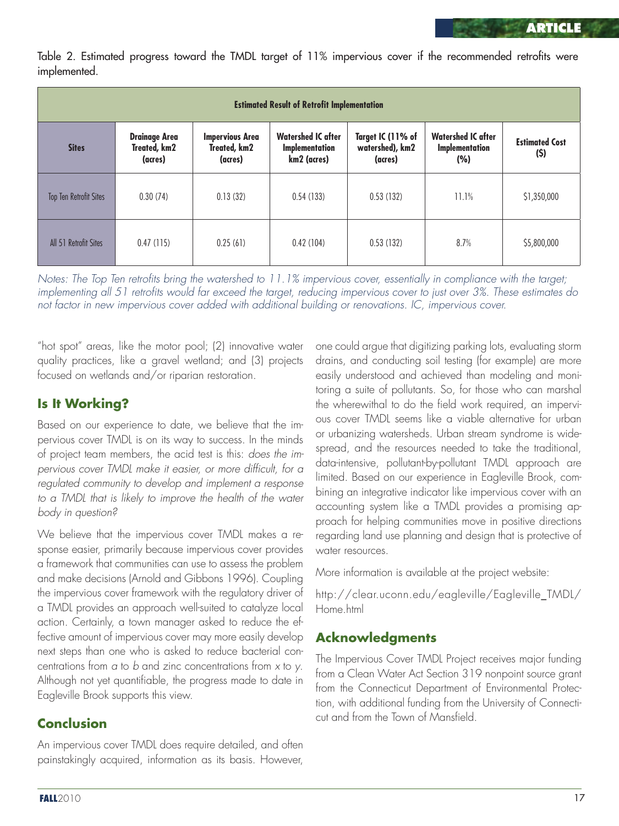Table 2. Estimated progress toward the TMDL target of 11% impervious cover if the recommended retrofits were implemented.

| <b>Estimated Result of Retrofit Implementation</b> |                                                 |                                                   |                                                                   |                                                 |                                                    |                              |  |  |  |
|----------------------------------------------------|-------------------------------------------------|---------------------------------------------------|-------------------------------------------------------------------|-------------------------------------------------|----------------------------------------------------|------------------------------|--|--|--|
| <b>Sites</b>                                       | <b>Drainage Area</b><br>Treated, km2<br>(acres) | <b>Impervious Area</b><br>Treated, km2<br>(acres) | <b>Watershed IC after</b><br><b>Implementation</b><br>km2 (acres) | Target IC (11% of<br>watershed), km2<br>(acres) | <b>Watershed IC after</b><br>Implementation<br>(%) | <b>Estimated Cost</b><br>(S) |  |  |  |
| <b>Top Ten Retrofit Sites</b>                      | 0.30(74)                                        | 0.13(32)                                          | 0.54(133)                                                         | 0.53(132)                                       | 11.1%                                              | \$1,350,000                  |  |  |  |
| All 51 Retrofit Sites                              | 0.47(115)                                       | 0.25(61)                                          | 0.42(104)                                                         | 0.53(132)                                       | 8.7%                                               | \$5,800,000                  |  |  |  |

*Notes: The Top Ten retrofits bring the watershed to 11.1% impervious cover, essentially in compliance with the target; implementing all 51 retrofits would far exceed the target, reducing impervious cover to just over 3%. These estimates do not factor in new impervious cover added with additional building or renovations. IC, impervious cover.*

"hot spot" areas, like the motor pool; (2) innovative water quality practices, like a gravel wetland; and (3) projects focused on wetlands and/or riparian restoration.

# **Is It Working?**

Based on our experience to date, we believe that the impervious cover TMDL is on its way to success. In the minds of project team members, the acid test is this: *does the impervious cover TMDL make it easier, or more difficult, for a regulated community to develop and implement a response to a TMDL that is likely to improve the health of the water body in question?*

We believe that the impervious cover TMDL makes a response easier, primarily because impervious cover provides a framework that communities can use to assess the problem and make decisions (Arnold and Gibbons 1996). Coupling the impervious cover framework with the regulatory driver of a TMDL provides an approach well-suited to catalyze local action. Certainly, a town manager asked to reduce the effective amount of impervious cover may more easily develop next steps than one who is asked to reduce bacterial concentrations from *a* to *b* and zinc concentrations from *x* to *y*. Although not yet quantifiable, the progress made to date in Eagleville Brook supports this view.

# **Conclusion**

An impervious cover TMDL does require detailed, and often painstakingly acquired, information as its basis. However,

one could argue that digitizing parking lots, evaluating storm drains, and conducting soil testing (for example) are more easily understood and achieved than modeling and monitoring a suite of pollutants. So, for those who can marshal the wherewithal to do the field work required, an impervious cover TMDL seems like a viable alternative for urban or urbanizing watersheds. Urban stream syndrome is widespread, and the resources needed to take the traditional, data-intensive, pollutant-by-pollutant TMDL approach are limited. Based on our experience in Eagleville Brook, combining an integrative indicator like impervious cover with an accounting system like a TMDL provides a promising approach for helping communities move in positive directions regarding land use planning and design that is protective of water resources.

More information is available at the project website:

http://clear.uconn.edu/eagleville/Eagleville\_TMDL/ Home.html

## **Acknowledgments**

The Impervious Cover TMDL Project receives major funding from a Clean Water Act Section 319 nonpoint source grant from the Connecticut Department of Environmental Protection, with additional funding from the University of Connecticut and from the Town of Mansfield.